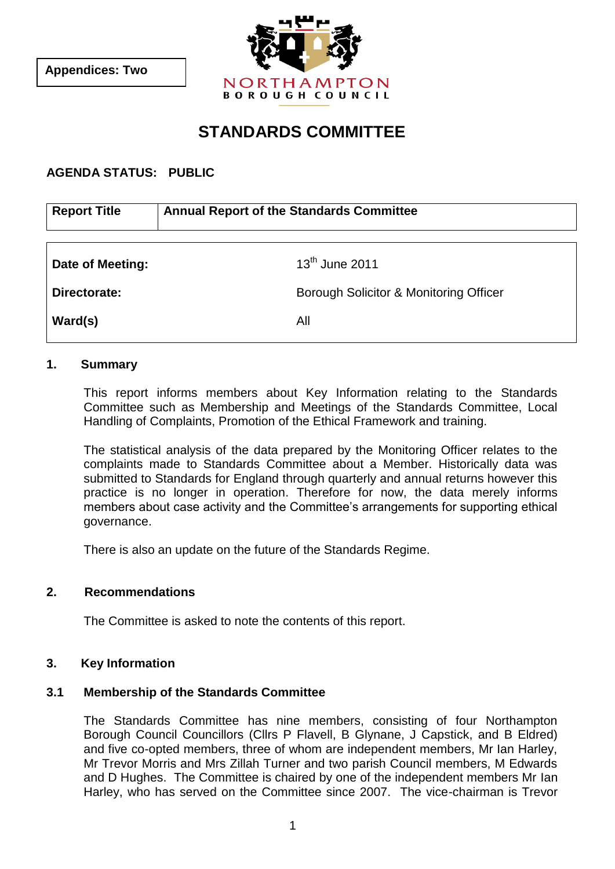

# **STANDARDS COMMITTEE**

# **AGENDA STATUS: PUBLIC**

| <b>Annual Report of the Standards Committee</b> |
|-------------------------------------------------|
|                                                 |
| $13th$ June 2011                                |
| Borough Solicitor & Monitoring Officer          |
| All                                             |
|                                                 |

#### **1. Summary**

This report informs members about Key Information relating to the Standards Committee such as Membership and Meetings of the Standards Committee, Local Handling of Complaints, Promotion of the Ethical Framework and training.

The statistical analysis of the data prepared by the Monitoring Officer relates to the complaints made to Standards Committee about a Member. Historically data was submitted to Standards for England through quarterly and annual returns however this practice is no longer in operation. Therefore for now, the data merely informs members about case activity and the Committee's arrangements for supporting ethical governance.

There is also an update on the future of the Standards Regime.

#### **2. Recommendations**

The Committee is asked to note the contents of this report.

#### **3. Key Information**

#### **3.1 Membership of the Standards Committee**

The Standards Committee has nine members, consisting of four Northampton Borough Council Councillors (Cllrs P Flavell, B Glynane, J Capstick, and B Eldred) and five co-opted members, three of whom are independent members, Mr Ian Harley, Mr Trevor Morris and Mrs Zillah Turner and two parish Council members, M Edwards and D Hughes. The Committee is chaired by one of the independent members Mr Ian Harley, who has served on the Committee since 2007. The vice-chairman is Trevor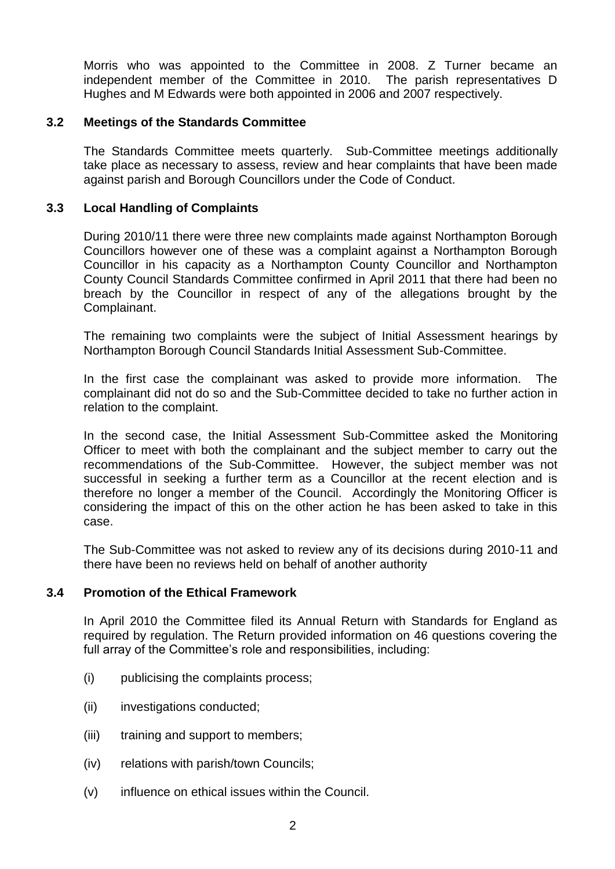Morris who was appointed to the Committee in 2008. Z Turner became an independent member of the Committee in 2010. The parish representatives D Hughes and M Edwards were both appointed in 2006 and 2007 respectively.

## **3.2 Meetings of the Standards Committee**

The Standards Committee meets quarterly. Sub-Committee meetings additionally take place as necessary to assess, review and hear complaints that have been made against parish and Borough Councillors under the Code of Conduct.

## **3.3 Local Handling of Complaints**

During 2010/11 there were three new complaints made against Northampton Borough Councillors however one of these was a complaint against a Northampton Borough Councillor in his capacity as a Northampton County Councillor and Northampton County Council Standards Committee confirmed in April 2011 that there had been no breach by the Councillor in respect of any of the allegations brought by the Complainant.

The remaining two complaints were the subject of Initial Assessment hearings by Northampton Borough Council Standards Initial Assessment Sub-Committee.

In the first case the complainant was asked to provide more information. The complainant did not do so and the Sub-Committee decided to take no further action in relation to the complaint.

In the second case, the Initial Assessment Sub-Committee asked the Monitoring Officer to meet with both the complainant and the subject member to carry out the recommendations of the Sub-Committee. However, the subject member was not successful in seeking a further term as a Councillor at the recent election and is therefore no longer a member of the Council. Accordingly the Monitoring Officer is considering the impact of this on the other action he has been asked to take in this case.

The Sub-Committee was not asked to review any of its decisions during 2010-11 and there have been no reviews held on behalf of another authority

#### **3.4 Promotion of the Ethical Framework**

In April 2010 the Committee filed its Annual Return with Standards for England as required by regulation. The Return provided information on 46 questions covering the full array of the Committee's role and responsibilities, including:

- (i) publicising the complaints process;
- (ii) investigations conducted;
- (iii) training and support to members;
- (iv) relations with parish/town Councils;
- (v) influence on ethical issues within the Council.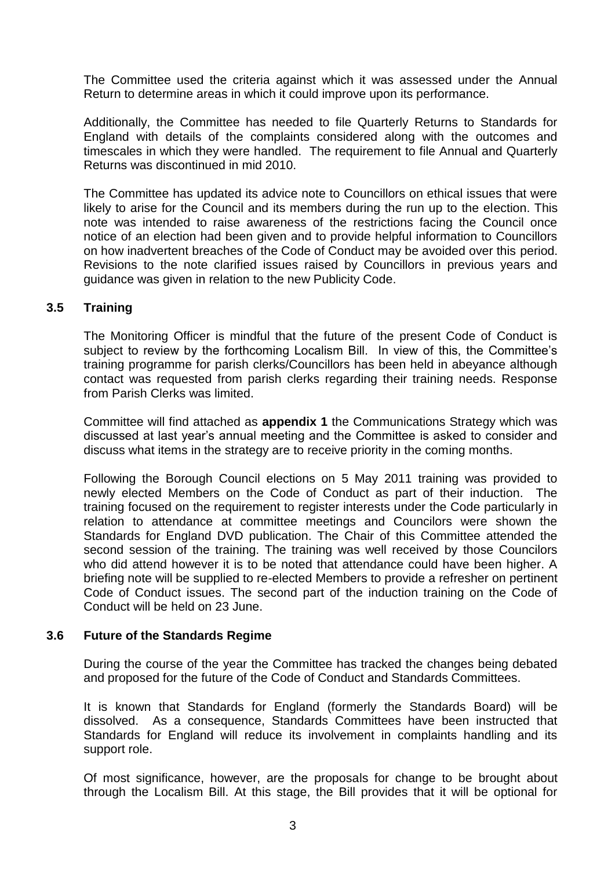The Committee used the criteria against which it was assessed under the Annual Return to determine areas in which it could improve upon its performance.

Additionally, the Committee has needed to file Quarterly Returns to Standards for England with details of the complaints considered along with the outcomes and timescales in which they were handled. The requirement to file Annual and Quarterly Returns was discontinued in mid 2010.

The Committee has updated its advice note to Councillors on ethical issues that were likely to arise for the Council and its members during the run up to the election. This note was intended to raise awareness of the restrictions facing the Council once notice of an election had been given and to provide helpful information to Councillors on how inadvertent breaches of the Code of Conduct may be avoided over this period. Revisions to the note clarified issues raised by Councillors in previous years and guidance was given in relation to the new Publicity Code.

# **3.5 Training**

The Monitoring Officer is mindful that the future of the present Code of Conduct is subject to review by the forthcoming Localism Bill. In view of this, the Committee's training programme for parish clerks/Councillors has been held in abeyance although contact was requested from parish clerks regarding their training needs. Response from Parish Clerks was limited.

Committee will find attached as **appendix 1** the Communications Strategy which was discussed at last year's annual meeting and the Committee is asked to consider and discuss what items in the strategy are to receive priority in the coming months.

Following the Borough Council elections on 5 May 2011 training was provided to newly elected Members on the Code of Conduct as part of their induction. The training focused on the requirement to register interests under the Code particularly in relation to attendance at committee meetings and Councilors were shown the Standards for England DVD publication. The Chair of this Committee attended the second session of the training. The training was well received by those Councilors who did attend however it is to be noted that attendance could have been higher. A briefing note will be supplied to re-elected Members to provide a refresher on pertinent Code of Conduct issues. The second part of the induction training on the Code of Conduct will be held on 23 June.

#### **3.6 Future of the Standards Regime**

During the course of the year the Committee has tracked the changes being debated and proposed for the future of the Code of Conduct and Standards Committees.

It is known that Standards for England (formerly the Standards Board) will be dissolved. As a consequence, Standards Committees have been instructed that Standards for England will reduce its involvement in complaints handling and its support role.

Of most significance, however, are the proposals for change to be brought about through the Localism Bill. At this stage, the Bill provides that it will be optional for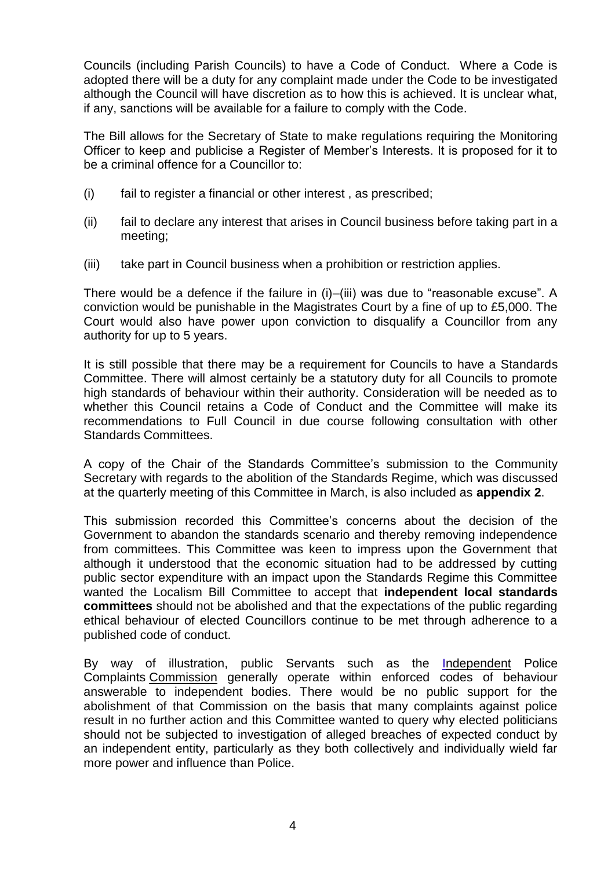Councils (including Parish Councils) to have a Code of Conduct. Where a Code is adopted there will be a duty for any complaint made under the Code to be investigated although the Council will have discretion as to how this is achieved. It is unclear what, if any, sanctions will be available for a failure to comply with the Code.

The Bill allows for the Secretary of State to make regulations requiring the Monitoring Officer to keep and publicise a Register of Member's Interests. It is proposed for it to be a criminal offence for a Councillor to:

- (i) fail to register a financial or other interest , as prescribed;
- (ii) fail to declare any interest that arises in Council business before taking part in a meeting;
- (iii) take part in Council business when a prohibition or restriction applies.

There would be a defence if the failure in (i)–(iii) was due to "reasonable excuse". A conviction would be punishable in the Magistrates Court by a fine of up to £5,000. The Court would also have power upon conviction to disqualify a Councillor from any authority for up to 5 years.

It is still possible that there may be a requirement for Councils to have a Standards Committee. There will almost certainly be a statutory duty for all Councils to promote high standards of behaviour within their authority. Consideration will be needed as to whether this Council retains a Code of Conduct and the Committee will make its recommendations to Full Council in due course following consultation with other Standards Committees.

A copy of the Chair of the Standards Committee's submission to the Community Secretary with regards to the abolition of the Standards Regime, which was discussed at the quarterly meeting of this Committee in March, is also included as **appendix 2**.

This submission recorded this Committee's concerns about the decision of the Government to abandon the standards scenario and thereby removing independence from committees. This Committee was keen to impress upon the Government that although it understood that the economic situation had to be addressed by cutting public sector expenditure with an impact upon the Standards Regime this Committee wanted the Localism Bill Committee to accept that **independent local standards committees** should not be abolished and that the expectations of the public regarding ethical behaviour of elected Councillors continue to be met through adherence to a published code of conduct.

By way of illustration, public Servants such as the [Independent](http://www.google.co.uk/url?sa=t&source=web&cd=1&ved=0CBUQFjAA&url=http%3A%2F%2Fwww.ipcc.gov.uk%2F&ei=U6PKTKPzCtO7jAeazaj8Dw&usg=AFQjCNFg6PwMPBBpL3frJXsBxoCduGMwkA) Police Complaints [Commission](http://www.google.co.uk/url?sa=t&source=web&cd=1&ved=0CBUQFjAA&url=http%3A%2F%2Fwww.ipcc.gov.uk%2F&ei=U6PKTKPzCtO7jAeazaj8Dw&usg=AFQjCNFg6PwMPBBpL3frJXsBxoCduGMwkA) generally operate within enforced codes of behaviour answerable to independent bodies. There would be no public support for the abolishment of that Commission on the basis that many complaints against police result in no further action and this Committee wanted to query why elected politicians should not be subjected to investigation of alleged breaches of expected conduct by an independent entity, particularly as they both collectively and individually wield far more power and influence than Police.